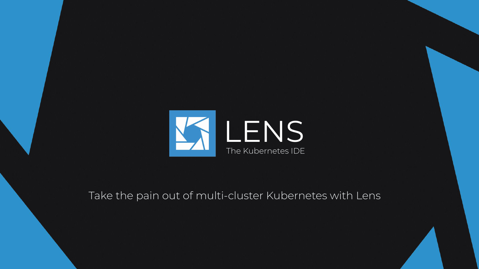

Take the pain out of multi-cluster Kubernetes with Lens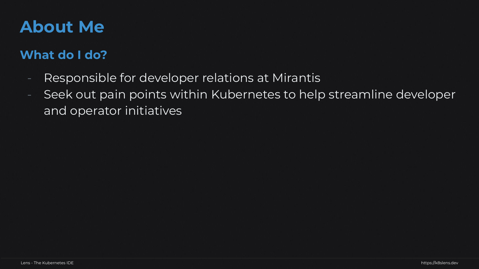#### **About Me**

#### **What do I do?**

- Responsible for developer relations at Mirantis
- Seek out pain points within Kubernetes to help streamline developer and operator initiatives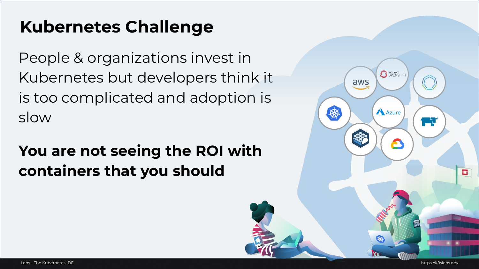# **Kubernetes Challenge**

People & organizations invest in Kubernetes but developers think it is too complicated and adoption is slow

## **You are not seeing the ROI with containers that you should**

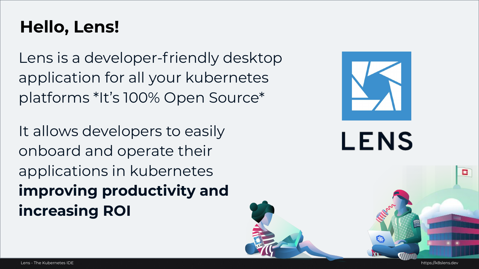## **Hello, Lens!**

Lens is a developer-friendly desktop application for all your kubernetes platforms \*It's 100% Open Source\*

It allows developers to easily onboard and operate their applications in kubernetes **improving productivity and increasing ROI**



**LENS** 

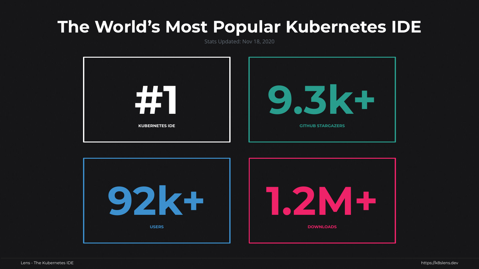#### **The World's Most Popular Kubernetes IDE**

Stats Updated: Nov 18, 2020



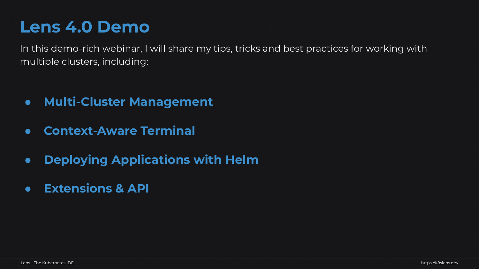## **Lens 4.0 Demo**

In this demo-rich webinar, I will share my tips, tricks and best practices for working with multiple clusters, including:

- **● Multi-Cluster Management**
- **● Context-Aware Terminal**
- **● Deploying Applications with Helm**
- **● Extensions & API**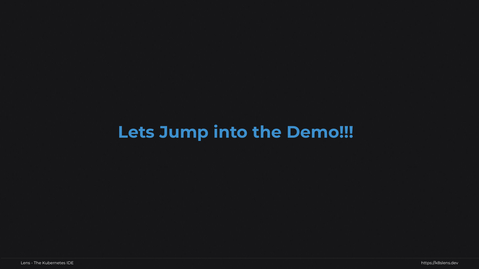# **Lets Jump into the Demo!!!**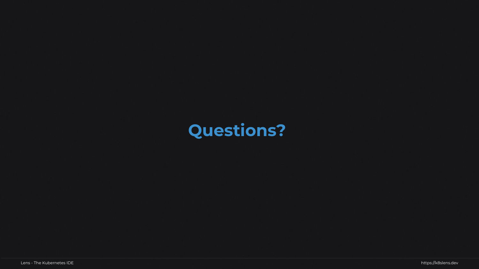## **Questions?**